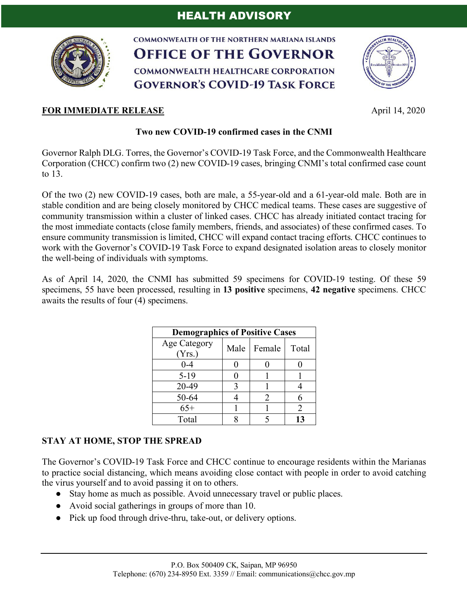

**COMMONWEALTH OF THE NORTHERN MARIANA ISLANDS OFFICE OF THE GOVERNOR COMMONWEALTH HEALTHCARE CORPORATION GOVERNOR'S COVID-19 TASK FORCE** 



## **FOR IMMEDIATE RELEASE April 14, 2020**

## **Two new COVID-19 confirmed cases in the CNMI**

Governor Ralph DLG. Torres, the Governor's COVID-19 Task Force, and the Commonwealth Healthcare Corporation (CHCC) confirm two (2) new COVID-19 cases, bringing CNMI's total confirmed case count to 13.

Of the two (2) new COVID-19 cases, both are male, a 55-year-old and a 61-year-old male. Both are in stable condition and are being closely monitored by CHCC medical teams. These cases are suggestive of community transmission within a cluster of linked cases. CHCC has already initiated contact tracing for the most immediate contacts (close family members, friends, and associates) of these confirmed cases. To ensure community transmission is limited, CHCC will expand contact tracing efforts. CHCC continues to work with the Governor's COVID-19 Task Force to expand designated isolation areas to closely monitor the well-being of individuals with symptoms.

As of April 14, 2020, the CNMI has submitted 59 specimens for COVID-19 testing. Of these 59 specimens, 55 have been processed, resulting in **13 positive** specimens, **42 negative** specimens. CHCC awaits the results of four (4) specimens.

| <b>Demographics of Positive Cases</b> |   |                             |       |
|---------------------------------------|---|-----------------------------|-------|
| Age Category<br>(Yrs.)                |   | Male   Female               | Total |
| $0 - 4$                               |   |                             |       |
| $5-19$                                |   |                             |       |
| 20-49                                 | 3 |                             |       |
| 50-64                                 |   | $\mathcal{D}_{\mathcal{L}}$ |       |
| $65+$                                 |   |                             | 2     |
| Total                                 |   |                             |       |

## **STAY AT HOME, STOP THE SPREAD**

The Governor's COVID-19 Task Force and CHCC continue to encourage residents within the Marianas to practice social distancing, which means avoiding close contact with people in order to avoid catching the virus yourself and to avoid passing it on to others.

- Stay home as much as possible. Avoid unnecessary travel or public places.
- Avoid social gatherings in groups of more than 10.
- Pick up food through drive-thru, take-out, or delivery options.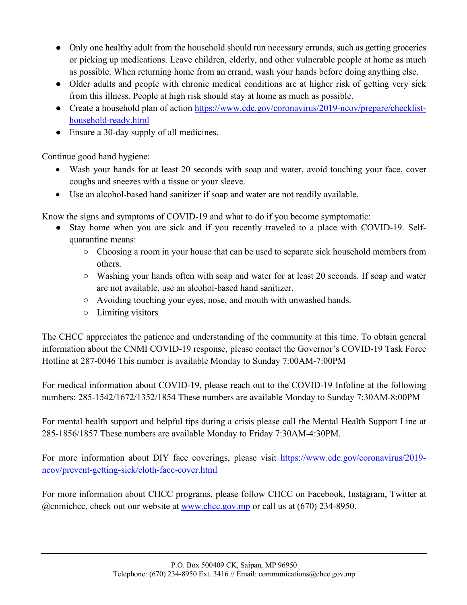- Only one healthy adult from the household should run necessary errands, such as getting groceries or picking up medications. Leave children, elderly, and other vulnerable people at home as much as possible. When returning home from an errand, wash your hands before doing anything else.
- Older adults and people with chronic medical conditions are at higher risk of getting very sick from this illness. People at high risk should stay at home as much as possible.
- Create a household plan of action https://www.cdc.gov/coronavirus/2019-ncov/prepare/checklisthousehold-ready.html
- Ensure a 30-day supply of all medicines.

Continue good hand hygiene:

- Wash your hands for at least 20 seconds with soap and water, avoid touching your face, cover coughs and sneezes with a tissue or your sleeve.
- Use an alcohol-based hand sanitizer if soap and water are not readily available.

Know the signs and symptoms of COVID-19 and what to do if you become symptomatic:

- Stay home when you are sick and if you recently traveled to a place with COVID-19. Selfquarantine means:
	- Choosing a room in your house that can be used to separate sick household members from others.
	- Washing your hands often with soap and water for at least 20 seconds. If soap and water are not available, use an alcohol-based hand sanitizer.
	- Avoiding touching your eyes, nose, and mouth with unwashed hands.
	- Limiting visitors

The CHCC appreciates the patience and understanding of the community at this time. To obtain general information about the CNMI COVID-19 response, please contact the Governor's COVID-19 Task Force Hotline at 287-0046 This number is available Monday to Sunday 7:00AM-7:00PM

For medical information about COVID-19, please reach out to the COVID-19 Infoline at the following numbers: 285-1542/1672/1352/1854 These numbers are available Monday to Sunday 7:30AM-8:00PM

For mental health support and helpful tips during a crisis please call the Mental Health Support Line at 285-1856/1857 These numbers are available Monday to Friday 7:30AM-4:30PM.

For more information about DIY face coverings, please visit https://www.cdc.gov/coronavirus/2019 ncov/prevent-getting-sick/cloth-face-cover.html

For more information about CHCC programs, please follow CHCC on Facebook, Instagram, Twitter at @cnmichcc, check out our website at www.chcc.gov.mp or call us at (670) 234-8950.